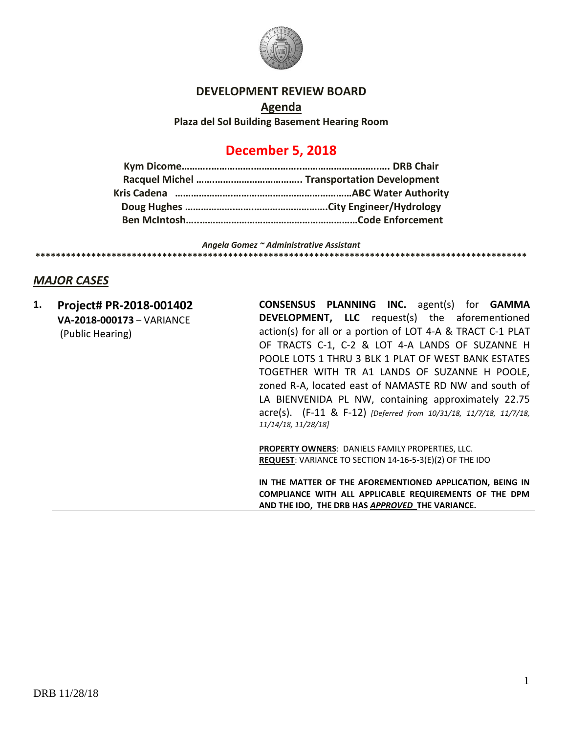

#### **DEVELOPMENT REVIEW BOARD**

**Agenda Plaza del Sol Building Basement Hearing Room**

# **December 5, 2018**

*Angela Gomez ~ Administrative Assistant* **\*\*\*\*\*\*\*\*\*\*\*\*\*\*\*\*\*\*\*\*\*\*\*\*\*\*\*\*\*\*\*\*\*\*\*\*\*\*\*\*\*\*\*\*\*\*\*\*\*\*\*\*\*\*\*\*\*\*\*\*\*\*\*\*\*\*\*\*\*\*\*\*\*\*\*\*\*\*\*\*\*\*\*\*\*\*\*\*\*\*\*\*\*\*\*\*\***

# *MAJOR CASES*

**1. Project# PR-2018-001402 VA-2018-000173** – VARIANCE (Public Hearing)

**CONSENSUS PLANNING INC.** agent(s) for **GAMMA DEVELOPMENT, LLC** request(s) the aforementioned action(s) for all or a portion of LOT 4-A & TRACT C-1 PLAT OF TRACTS C-1, C-2 & LOT 4-A LANDS OF SUZANNE H POOLE LOTS 1 THRU 3 BLK 1 PLAT OF WEST BANK ESTATES TOGETHER WITH TR A1 LANDS OF SUZANNE H POOLE, zoned R-A, located east of NAMASTE RD NW and south of LA BIENVENIDA PL NW, containing approximately 22.75 acre(s). (F-11 & F-12) *[Deferred from 10/31/18, 11/7/18, 11/7/18, 11/14/18, 11/28/18]*

**PROPERTY OWNERS**: DANIELS FAMILY PROPERTIES, LLC. **REQUEST**: VARIANCE TO SECTION 14-16-5-3(E)(2) OF THE IDO

**IN THE MATTER OF THE AFOREMENTIONED APPLICATION, BEING IN COMPLIANCE WITH ALL APPLICABLE REQUIREMENTS OF THE DPM AND THE IDO, THE DRB HAS** *APPROVED* **THE VARIANCE.**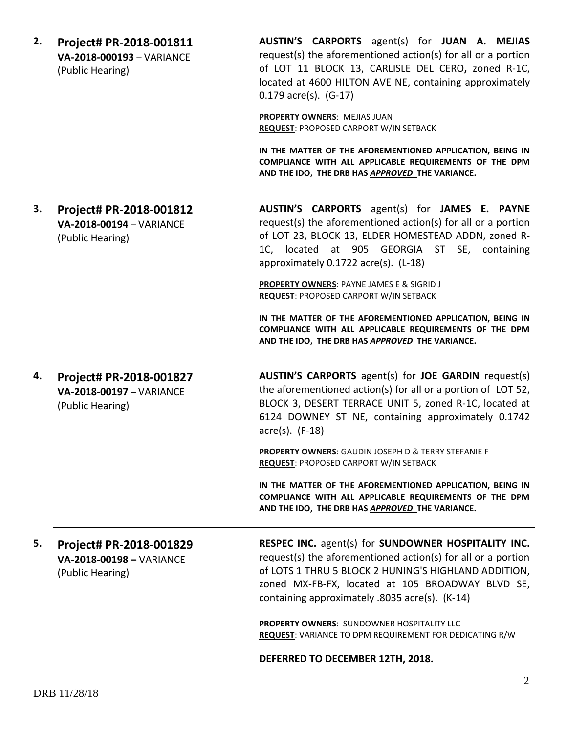| 2. | Project# PR-2018-001811<br>VA-2018-000193 - VARIANCE<br>(Public Hearing) | AUSTIN'S CARPORTS agent(s) for JUAN A. MEJIAS<br>request(s) the aforementioned action(s) for all or a portion<br>of LOT 11 BLOCK 13, CARLISLE DEL CERO, zoned R-1C,<br>located at 4600 HILTON AVE NE, containing approximately<br>$0.179$ acre(s). $(G-17)$<br><b>PROPERTY OWNERS: MEJIAS JUAN</b><br>REQUEST: PROPOSED CARPORT W/IN SETBACK<br>IN THE MATTER OF THE AFOREMENTIONED APPLICATION, BEING IN |
|----|--------------------------------------------------------------------------|-----------------------------------------------------------------------------------------------------------------------------------------------------------------------------------------------------------------------------------------------------------------------------------------------------------------------------------------------------------------------------------------------------------|
|    |                                                                          | COMPLIANCE WITH ALL APPLICABLE REQUIREMENTS OF THE DPM<br>AND THE IDO, THE DRB HAS APPROVED THE VARIANCE.                                                                                                                                                                                                                                                                                                 |
| З. | Project# PR-2018-001812<br>VA-2018-00194 - VARIANCE<br>(Public Hearing)  | AUSTIN'S CARPORTS agent(s) for JAMES E. PAYNE<br>request(s) the aforementioned action(s) for all or a portion<br>of LOT 23, BLOCK 13, ELDER HOMESTEAD ADDN, zoned R-<br>1C, located at 905 GEORGIA ST SE, containing<br>approximately 0.1722 acre(s). (L-18)                                                                                                                                              |
|    |                                                                          | <b>PROPERTY OWNERS: PAYNE JAMES E &amp; SIGRID J</b><br><b>REQUEST: PROPOSED CARPORT W/IN SETBACK</b>                                                                                                                                                                                                                                                                                                     |
|    |                                                                          | IN THE MATTER OF THE AFOREMENTIONED APPLICATION, BEING IN<br>COMPLIANCE WITH ALL APPLICABLE REQUIREMENTS OF THE DPM<br>AND THE IDO, THE DRB HAS APPROVED THE VARIANCE.                                                                                                                                                                                                                                    |
| 4. | Project# PR-2018-001827<br>VA-2018-00197 - VARIANCE<br>(Public Hearing)  | <b>AUSTIN'S CARPORTS</b> agent(s) for <b>JOE GARDIN</b> request(s)<br>the aforementioned action(s) for all or a portion of LOT 52,<br>BLOCK 3, DESERT TERRACE UNIT 5, zoned R-1C, located at<br>6124 DOWNEY ST NE, containing approximately 0.1742<br>$\arccos 0$ . (F-18)                                                                                                                                |
|    |                                                                          | PROPERTY OWNERS: GAUDIN JOSEPH D & TERRY STEFANIE F<br>REQUEST: PROPOSED CARPORT W/IN SETBACK                                                                                                                                                                                                                                                                                                             |
|    |                                                                          | IN THE MATTER OF THE AFOREMENTIONED APPLICATION, BEING IN<br>COMPLIANCE WITH ALL APPLICABLE REQUIREMENTS OF THE DPM<br>AND THE IDO, THE DRB HAS APPROVED THE VARIANCE.                                                                                                                                                                                                                                    |
| 5. | Project# PR-2018-001829<br>VA-2018-00198 - VARIANCE<br>(Public Hearing)  | RESPEC INC. agent(s) for SUNDOWNER HOSPITALITY INC.<br>request(s) the aforementioned action(s) for all or a portion<br>of LOTS 1 THRU 5 BLOCK 2 HUNING'S HIGHLAND ADDITION,<br>zoned MX-FB-FX, located at 105 BROADWAY BLVD SE,<br>containing approximately .8035 acre(s). (K-14)                                                                                                                         |
|    |                                                                          | <b>PROPERTY OWNERS: SUNDOWNER HOSPITALITY LLC</b><br><b>REQUEST:</b> VARIANCE TO DPM REQUIREMENT FOR DEDICATING R/W                                                                                                                                                                                                                                                                                       |
|    |                                                                          | DEFERRED TO DECEMBER 12TH, 2018.                                                                                                                                                                                                                                                                                                                                                                          |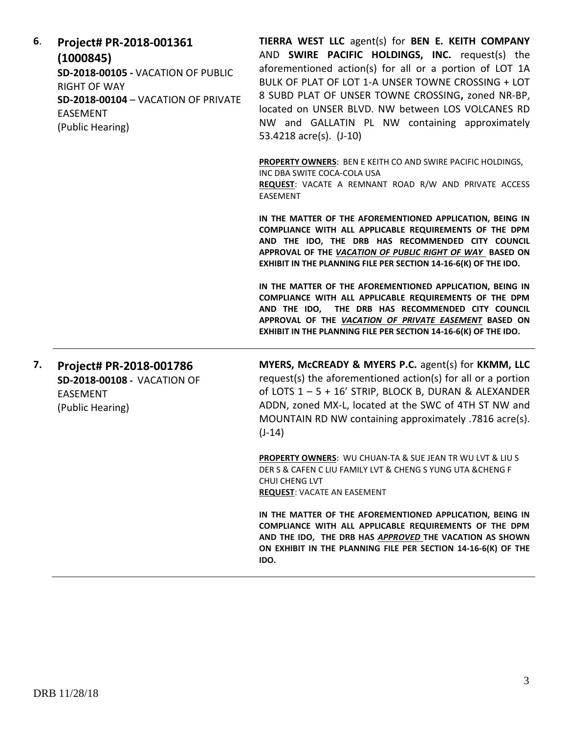| 6. | Project# PR-2018-001361<br>(1000845)<br>SD-2018-00105 - VACATION OF PUBLIC<br><b>RIGHT OF WAY</b><br>SD-2018-00104 - VACATION OF PRIVATE<br><b>EASEMENT</b><br>(Public Hearing) | TIERRA WEST LLC agent(s) for BEN E. KEITH COMPANY<br>AND SWIRE PACIFIC HOLDINGS, INC. request(s) the<br>aforementioned action(s) for all or a portion of LOT 1A<br>BULK OF PLAT OF LOT 1-A UNSER TOWNE CROSSING + LOT<br>8 SUBD PLAT OF UNSER TOWNE CROSSING, zoned NR-BP,<br>located on UNSER BLVD. NW between LOS VOLCANES RD<br>NW and GALLATIN PL NW containing approximately<br>53.4218 acre(s). (J-10) |
|----|---------------------------------------------------------------------------------------------------------------------------------------------------------------------------------|--------------------------------------------------------------------------------------------------------------------------------------------------------------------------------------------------------------------------------------------------------------------------------------------------------------------------------------------------------------------------------------------------------------|
|    |                                                                                                                                                                                 | <b>PROPERTY OWNERS: BEN E KEITH CO AND SWIRE PACIFIC HOLDINGS,</b><br>INC DBA SWITE COCA-COLA USA<br>REQUEST: VACATE A REMNANT ROAD R/W AND PRIVATE ACCESS<br>EASEMENT                                                                                                                                                                                                                                       |
|    |                                                                                                                                                                                 | IN THE MATTER OF THE AFOREMENTIONED APPLICATION, BEING IN<br>COMPLIANCE WITH ALL APPLICABLE REQUIREMENTS OF THE DPM<br>AND THE IDO, THE DRB HAS RECOMMENDED CITY COUNCIL<br>APPROVAL OF THE VACATION OF PUBLIC RIGHT OF WAY BASED ON<br>EXHIBIT IN THE PLANNING FILE PER SECTION 14-16-6(K) OF THE IDO.                                                                                                      |
|    |                                                                                                                                                                                 | IN THE MATTER OF THE AFOREMENTIONED APPLICATION, BEING IN<br>COMPLIANCE WITH ALL APPLICABLE REQUIREMENTS OF THE DPM<br>AND THE IDO, THE DRB HAS RECOMMENDED CITY COUNCIL<br>APPROVAL OF THE VACATION OF PRIVATE EASEMENT BASED ON<br>EXHIBIT IN THE PLANNING FILE PER SECTION 14-16-6(K) OF THE IDO.                                                                                                         |
| 7. | Project# PR-2018-001786<br>SD-2018-00108 - VACATION OF<br><b>EASEMENT</b><br>(Public Hearing)                                                                                   | MYERS, McCREADY & MYERS P.C. agent(s) for KKMM, LLC<br>request(s) the aforementioned action(s) for all or a portion<br>of LOTS 1 - 5 + 16' STRIP, BLOCK B, DURAN & ALEXANDER<br>ADDN, zoned MX-L, located at the SWC of 4TH ST NW and<br>MOUNTAIN RD NW containing approximately .7816 acre(s).<br>$(J-14)$                                                                                                  |
|    |                                                                                                                                                                                 | <b>PROPERTY OWNERS: WU CHUAN-TA &amp; SUE JEAN TR WU LVT &amp; LIU S</b><br>DER S & CAFEN C LIU FAMILY LVT & CHENG S YUNG UTA & CHENG F<br><b>CHUI CHENG LVT</b><br><b>REQUEST: VACATE AN EASEMENT</b>                                                                                                                                                                                                       |
|    |                                                                                                                                                                                 | IN THE MATTER OF THE AFOREMENTIONED APPLICATION, BEING IN<br>COMPLIANCE WITH ALL APPLICABLE REQUIREMENTS OF THE DPM<br>AND THE IDO, THE DRB HAS APPROVED THE VACATION AS SHOWN<br>ON EXHIBIT IN THE PLANNING FILE PER SECTION 14-16-6(K) OF THE<br>IDO.                                                                                                                                                      |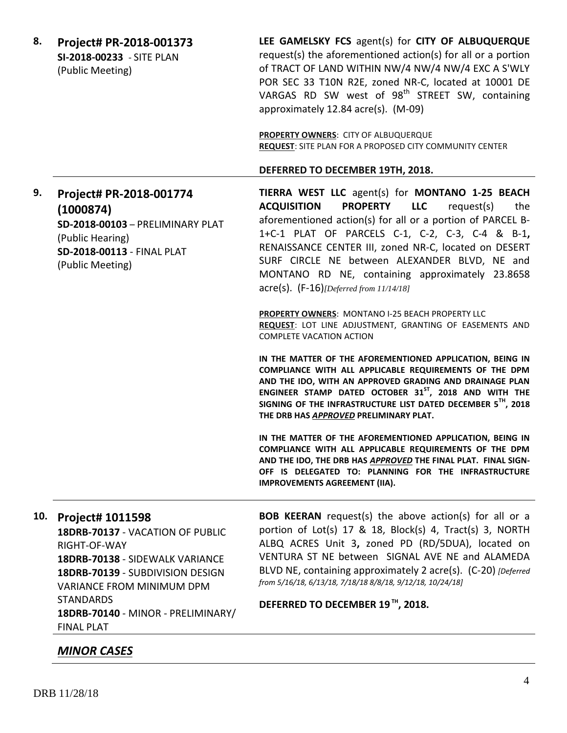**8. Project# PR-2018-001373 SI-2018-00233** - SITE PLAN (Public Meeting) **LEE GAMELSKY FCS** agent(s) for **CITY OF ALBUQUERQUE** request(s) the aforementioned action(s) for all or a portion of TRACT OF LAND WITHIN NW/4 NW/4 NW/4 EXC A S'WLY POR SEC 33 T10N R2E, zoned NR-C, located at 10001 DE VARGAS RD SW west of  $98<sup>th</sup>$  STREET SW, containing approximately 12.84 acre(s). (M-09) **PROPERTY OWNERS**: CITY OF ALBUQUERQUE **REQUEST**: SITE PLAN FOR A PROPOSED CITY COMMUNITY CENTER **DEFERRED TO DECEMBER 19TH, 2018. 9. Project# PR-2018-001774 (1000874) SD-2018-00103** – PRELIMINARY PLAT (Public Hearing) **SD-2018-00113** - FINAL PLAT (Public Meeting) **TIERRA WEST LLC** agent(s) for **MONTANO 1-25 BEACH ACQUISITION PROPERTY LLC** request(s) the aforementioned action(s) for all or a portion of PARCEL B-1+C-1 PLAT OF PARCELS C-1, C-2, C-3, C-4 & B-1**,**  RENAISSANCE CENTER III, zoned NR-C, located on DESERT SURF CIRCLE NE between ALEXANDER BLVD, NE and MONTANO RD NE, containing approximately 23.8658 acre(s). (F-16)*[Deferred from 11/14/18]* **PROPERTY OWNERS**: MONTANO I-25 BEACH PROPERTY LLC **REQUEST**: LOT LINE ADJUSTMENT, GRANTING OF EASEMENTS AND COMPLETE VACATION ACTION **IN THE MATTER OF THE AFOREMENTIONED APPLICATION, BEING IN COMPLIANCE WITH ALL APPLICABLE REQUIREMENTS OF THE DPM AND THE IDO, WITH AN APPROVED GRADING AND DRAINAGE PLAN ENGINEER STAMP DATED OCTOBER 31ST, 2018 AND WITH THE SIGNING OF THE INFRASTRUCTURE LIST DATED DECEMBER 5TH, 2018 THE DRB HAS** *APPROVED* **PRELIMINARY PLAT. IN THE MATTER OF THE AFOREMENTIONED APPLICATION, BEING IN COMPLIANCE WITH ALL APPLICABLE REQUIREMENTS OF THE DPM AND THE IDO, THE DRB HAS** *APPROVED* **THE FINAL PLAT. FINAL SIGN-OFF IS DELEGATED TO: PLANNING FOR THE INFRASTRUCTURE IMPROVEMENTS AGREEMENT (IIA). 10. Project# 1011598 18DRB-70137** - VACATION OF PUBLIC RIGHT-OF-WAY **18DRB-70138** - SIDEWALK VARIANCE **18DRB-70139** - SUBDIVISION DESIGN VARIANCE FROM MINIMUM DPM **STANDARDS 18DRB-70140** - MINOR - PRELIMINARY/ FINAL PLAT **BOB KEERAN** request(s) the above action(s) for all or a portion of Lot(s) 17 & 18, Block(s) 4, Tract(s) 3, NORTH ALBQ ACRES Unit 3**,** zoned PD (RD/5DUA), located on VENTURA ST NE between SIGNAL AVE NE and ALAMEDA BLVD NE, containing approximately 2 acre(s). (C-20) *[Deferred from 5/16/18, 6/13/18, 7/18/18 8/8/18, 9/12/18, 10/24/18]* **DEFERRED TO DECEMBER 19 TH, 2018.**

## *MINOR CASES*